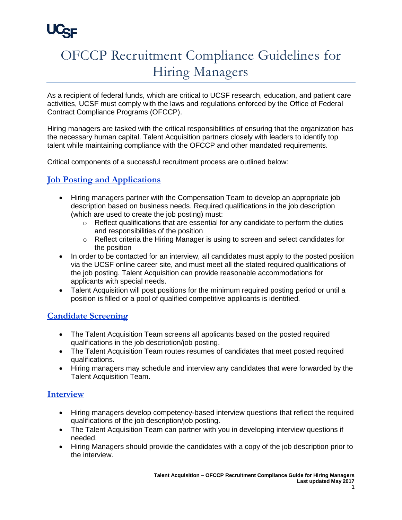

# OFCCP Recruitment Compliance Guidelines for Hiring Managers

As a recipient of federal funds, which are critical to UCSF research, education, and patient care activities, UCSF must comply with the laws and regulations enforced by the Office of Federal Contract Compliance Programs (OFCCP).

Hiring managers are tasked with the critical responsibilities of ensuring that the organization has the necessary human capital. Talent Acquisition partners closely with leaders to identify top talent while maintaining compliance with the OFCCP and other mandated requirements.

Critical components of a successful recruitment process are outlined below:

## **Job Posting and Applications**

- Hiring managers partner with the Compensation Team to develop an appropriate job description based on business needs. Required qualifications in the job description (which are used to create the job posting) must:
	- $\circ$  Reflect qualifications that are essential for any candidate to perform the duties and responsibilities of the position
	- $\circ$  Reflect criteria the Hiring Manager is using to screen and select candidates for the position
- In order to be contacted for an interview, all candidates must apply to the posted position via the UCSF online career site, and must meet all the stated required qualifications of the job posting. Talent Acquisition can provide reasonable accommodations for applicants with special needs.
- Talent Acquisition will post positions for the minimum required posting period or until a position is filled or a pool of qualified competitive applicants is identified.

#### **Candidate Screening**

- The Talent Acquisition Team screens all applicants based on the posted required qualifications in the job description/job posting.
- The Talent Acquisition Team routes resumes of candidates that meet posted required qualifications.
- Hiring managers may schedule and interview any candidates that were forwarded by the Talent Acquisition Team.

## **Interview**

- Hiring managers develop competency-based interview questions that reflect the required qualifications of the job description/job posting.
- The Talent Acquisition Team can partner with you in developing interview questions if needed.
- Hiring Managers should provide the candidates with a copy of the job description prior to the interview.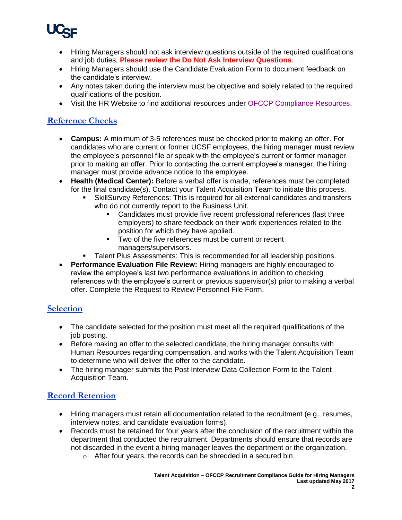

- Hiring Managers should not ask interview questions outside of the required qualifications and job duties. **Please review the Do Not Ask Interview Questions**.
- Hiring Managers should use the Candidate Evaluation Form to document feedback on the candidate's interview.
- Any notes taken during the interview must be objective and solely related to the required qualifications of the position.
- Visit the HR Website to find additional resources under [OFCCP Compliance Resources.](https://srs.ucsf.edu/hr.php?&A=1967&org=c)

### **Reference Checks**

- **Campus:** A minimum of 3-5 references must be checked prior to making an offer. For candidates who are current or former UCSF employees, the hiring manager **must** review the employee's personnel file or speak with the employee's current or former manager prior to making an offer. Prior to contacting the current employee's manager, the hiring manager must provide advance notice to the employee.
- **Health (Medical Center):** Before a verbal offer is made, references must be completed for the final candidate(s). Contact your Talent Acquisition Team to initiate this process.
	- SkillSurvey References: This is required for all external candidates and transfers who do not currently report to the Business Unit.
		- Candidates must provide five recent professional references (last three employers) to share feedback on their work experiences related to the position for which they have applied.
		- **Two of the five references must be current or recent** managers/supervisors.
	- Talent Plus Assessments: This is recommended for all leadership positions.
- **Performance Evaluation File Review:** Hiring managers are highly encouraged to review the employee's last two performance evaluations in addition to checking references with the employee's current or previous supervisor(s) prior to making a verbal offer. Complete the Request to Review Personnel File Form.

#### **Selection**

- The candidate selected for the position must meet all the required qualifications of the job posting.
- Before making an offer to the selected candidate, the hiring manager consults with Human Resources regarding compensation, and works with the Talent Acquisition Team to determine who will deliver the offer to the candidate.
- The hiring manager submits the Post Interview Data Collection Form to the Talent Acquisition Team.

## **Record Retention**

- Hiring managers must retain all documentation related to the recruitment (e.g., resumes, interview notes, and candidate evaluation forms).
- Records must be retained for four years after the conclusion of the recruitment within the department that conducted the recruitment. Departments should ensure that records are not discarded in the event a hiring manager leaves the department or the organization.
	- o After four years, the records can be shredded in a secured bin.